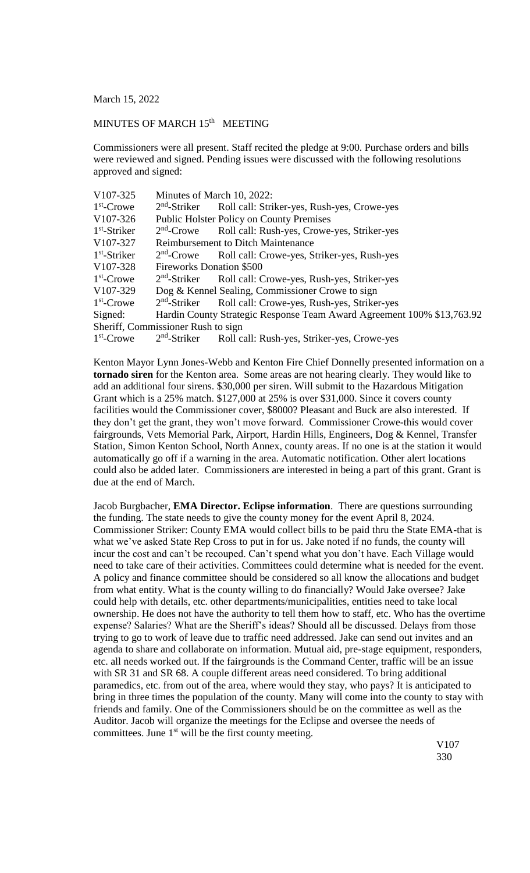March 15, 2022

## MINUTES OF MARCH 15<sup>th</sup> MEETING

Commissioners were all present. Staff recited the pledge at 9:00. Purchase orders and bills were reviewed and signed. Pending issues were discussed with the following resolutions approved and signed:

| V107-325       | Minutes of March 10, 2022:                       |                                                                        |
|----------------|--------------------------------------------------|------------------------------------------------------------------------|
| $1st$ -Crowe   |                                                  | 2 <sup>nd</sup> -Striker Roll call: Striker-yes, Rush-yes, Crowe-yes   |
| V107-326       |                                                  | <b>Public Holster Policy on County Premises</b>                        |
| $1st$ -Striker |                                                  | 2 <sup>nd</sup> -Crowe Roll call: Rush-yes, Crowe-yes, Striker-yes     |
| V107-327       | <b>Reimbursement to Ditch Maintenance</b>        |                                                                        |
| $1st$ -Striker |                                                  | 2 <sup>nd</sup> -Crowe Roll call: Crowe-yes, Striker-yes, Rush-yes     |
| V107-328       | <b>Fireworks Donation \$500</b>                  |                                                                        |
| $1st$ -Crowe   |                                                  | 2 <sup>nd</sup> -Striker Roll call: Crowe-yes, Rush-yes, Striker-yes   |
| V107-329       | Dog & Kennel Sealing, Commissioner Crowe to sign |                                                                        |
| $1st$ -Crowe   | $2nd$ -Striker                                   | Roll call: Crowe-yes, Rush-yes, Striker-yes                            |
| Signed:        |                                                  | Hardin County Strategic Response Team Award Agreement 100% \$13,763.92 |
|                | Sheriff, Commissioner Rush to sign               |                                                                        |
| $1st$ -Crowe   |                                                  | 2 <sup>nd</sup> -Striker Roll call: Rush-yes, Striker-yes, Crowe-yes   |

Kenton Mayor Lynn Jones-Webb and Kenton Fire Chief Donnelly presented information on a **tornado siren** for the Kenton area. Some areas are not hearing clearly. They would like to add an additional four sirens. \$30,000 per siren. Will submit to the Hazardous Mitigation Grant which is a 25% match. \$127,000 at 25% is over \$31,000. Since it covers county facilities would the Commissioner cover, \$8000? Pleasant and Buck are also interested. If they don't get the grant, they won't move forward. Commissioner Crowe-this would cover fairgrounds, Vets Memorial Park, Airport, Hardin Hills, Engineers, Dog & Kennel, Transfer Station, Simon Kenton School, North Annex, county areas. If no one is at the station it would automatically go off if a warning in the area. Automatic notification. Other alert locations could also be added later. Commissioners are interested in being a part of this grant. Grant is due at the end of March.

Jacob Burgbacher, **EMA Director. Eclipse information**. There are questions surrounding the funding. The state needs to give the county money for the event April 8, 2024. Commissioner Striker: County EMA would collect bills to be paid thru the State EMA-that is what we've asked State Rep Cross to put in for us. Jake noted if no funds, the county will incur the cost and can't be recouped. Can't spend what you don't have. Each Village would need to take care of their activities. Committees could determine what is needed for the event. A policy and finance committee should be considered so all know the allocations and budget from what entity. What is the county willing to do financially? Would Jake oversee? Jake could help with details, etc. other departments/municipalities, entities need to take local ownership. He does not have the authority to tell them how to staff, etc. Who has the overtime expense? Salaries? What are the Sheriff's ideas? Should all be discussed. Delays from those trying to go to work of leave due to traffic need addressed. Jake can send out invites and an agenda to share and collaborate on information. Mutual aid, pre-stage equipment, responders, etc. all needs worked out. If the fairgrounds is the Command Center, traffic will be an issue with SR 31 and SR 68. A couple different areas need considered. To bring additional paramedics, etc. from out of the area, where would they stay, who pays? It is anticipated to bring in three times the population of the county. Many will come into the county to stay with friends and family. One of the Commissioners should be on the committee as well as the Auditor. Jacob will organize the meetings for the Eclipse and oversee the needs of committees. June  $1<sup>st</sup>$  will be the first county meeting.

> V107 330